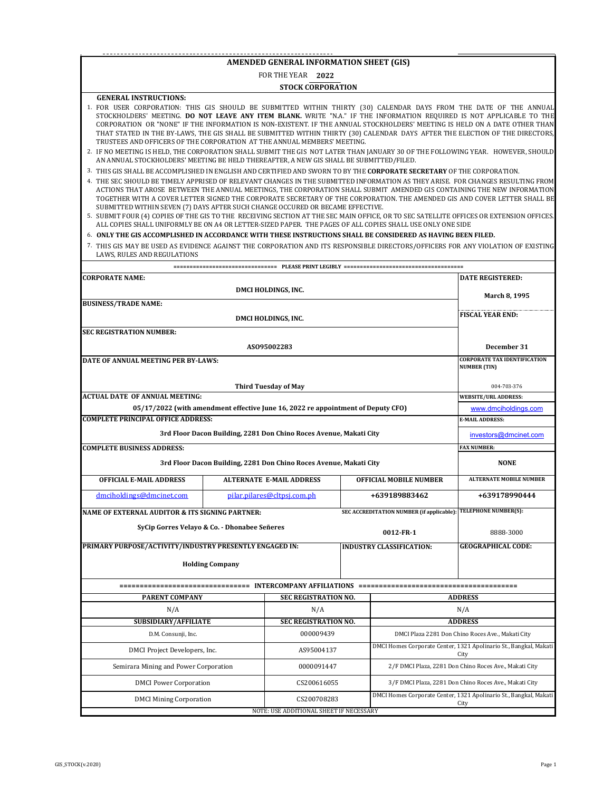### **AMENDED GENERAL INFORMATION SHEET (GIS)**

# **2022** FOR THE YEAR

### **STOCK CORPORATION**

#### **GENERAL INSTRUCTIONS:**

- 1. FOR USER CORPORATION: THIS GIS SHOULD BE SUBMITTED WITHIN THIRTY (30) CALENDAR DAYS FROM THE DATE OF THE ANNUAL STOCKHOLDERS' MEETING. **DO NOT LEAVE ANY ITEM BLANK.** WRITE "N.A." IF THE INFORMATION REQUIRED IS NOT APPLICABLE TO THE CORPORATION OR "NONE" IF THE INFORMATION IS NON-EXISTENT. IF THE ANNUAL STOCKHOLDERS' MEETING IS HELD ON A DATE OTHER THAN THAT STATED IN THE BY-LAWS, THE GIS SHALL BE SUBMITTED WITHIN THIRTY (30) CALENDAR DAYS AFTER THE ELECTION OF THE DIRECTORS, TRUSTEES AND OFFICERS OF THE CORPORATION AT THE ANNUAL MEMBERS' MEETING.
- 2. IF NO MEETING IS HELD, THE CORPORATION SHALL SUBMIT THE GIS NOT LATER THAN JANUARY 30 OF THE FOLLOWING YEAR. HOWEVER, SHOULD AN ANNUAL STOCKHOLDERS' MEETING BE HELD THEREAFTER, A NEW GIS SHALL BE SUBMITTED/FILED.
- 3. THIS GIS SHALL BE ACCOMPLISHED IN ENGLISH AND CERTIFIED AND SWORN TO BY THE **CORPORATE SECRETARY** OF THE CORPORATION.
- 4. THE SEC SHOULD BE TIMELY APPRISED OF RELEVANT CHANGES IN THE SUBMITTED INFORMATION AS THEY ARISE. FOR CHANGES RESULTING FROM ACTIONS THAT AROSE BETWEEN THE ANNUAL MEETINGS, THE CORPORATION SHALL SUBMIT AMENDED GIS CONTAINING THE NEW INFORMATION TOGETHER WITH A COVER LETTER SIGNED THE CORPORATE SECRETARY OF THE CORPORATION. THE AMENDED GIS AND COVER LETTER SHALL BE SUBMITTED WITHIN SEVEN (7) DAYS AFTER SUCH CHANGE OCCURED OR BECAME EFFECTIVE.
- 5. SUBMIT FOUR (4) COPIES OF THE GIS TO THE RECEIVING SECTION AT THE SEC MAIN OFFICE, OR TO SEC SATELLITE OFFICES OR EXTENSION OFFICES. ALL COPIES SHALL UNIFORMLY BE ON A4 OR LETTER-SIZED PAPER. THE PAGES OF ALL COPIES SHALL USE ONLY ONE SIDE

#### 6. **ONLY THE GIS ACCOMPLISHED IN ACCORDANCE WITH THESE INSTRUCTIONS SHALL BE CONSIDERED AS HAVING BEEN FILED.**

7. THIS GIS MAY BE USED AS EVIDENCE AGAINST THE CORPORATION AND ITS RESPONSIBLE DIRECTORS/OFFICERS FOR ANY VIOLATION OF EXISTING LAWS, RULES AND REGULATIONS

| <b>CORPORATE NAME:</b>                                             |                         |                                                                                  |                                                        |                                                                | <b>DATE REGISTERED:</b>                                                   |  |  |  |
|--------------------------------------------------------------------|-------------------------|----------------------------------------------------------------------------------|--------------------------------------------------------|----------------------------------------------------------------|---------------------------------------------------------------------------|--|--|--|
|                                                                    | March 8, 1995           |                                                                                  |                                                        |                                                                |                                                                           |  |  |  |
| <b>BUSINESS/TRADE NAME:</b>                                        |                         |                                                                                  |                                                        |                                                                |                                                                           |  |  |  |
|                                                                    | <b>FISCAL YEAR END:</b> |                                                                                  |                                                        |                                                                |                                                                           |  |  |  |
| <b>SEC REGISTRATION NUMBER:</b>                                    |                         |                                                                                  |                                                        |                                                                |                                                                           |  |  |  |
|                                                                    |                         | AS095002283                                                                      |                                                        |                                                                | December 31                                                               |  |  |  |
| DATE OF ANNUAL MEETING PER BY-LAWS:                                |                         |                                                                                  |                                                        |                                                                | <b>CORPORATE TAX IDENTIFICATION</b><br><b>NUMBER (TIN)</b>                |  |  |  |
|                                                                    |                         |                                                                                  |                                                        |                                                                |                                                                           |  |  |  |
|                                                                    |                         | <b>Third Tuesday of May</b>                                                      |                                                        |                                                                | 004-703-376                                                               |  |  |  |
| <b>ACTUAL DATE OF ANNUAL MEETING:</b>                              |                         |                                                                                  |                                                        |                                                                | <b>WEBSITE/URL ADDRESS:</b>                                               |  |  |  |
|                                                                    |                         | 05/17/2022 (with amendment effective June 16, 2022 re appointment of Deputy CFO) |                                                        |                                                                | www.dmciholdings.com                                                      |  |  |  |
| <b>COMPLETE PRINCIPAL OFFICE ADDRESS:</b>                          |                         |                                                                                  |                                                        |                                                                | <b>E-MAIL ADDRESS:</b>                                                    |  |  |  |
|                                                                    |                         | 3rd Floor Dacon Building, 2281 Don Chino Roces Avenue, Makati City               |                                                        |                                                                | investors@dmcinet.com                                                     |  |  |  |
| <b>COMPLETE BUSINESS ADDRESS:</b>                                  |                         | <b>FAX NUMBER:</b>                                                               |                                                        |                                                                |                                                                           |  |  |  |
| 3rd Floor Dacon Building, 2281 Don Chino Roces Avenue, Makati City | <b>NONE</b>             |                                                                                  |                                                        |                                                                |                                                                           |  |  |  |
| <b>OFFICIAL E-MAIL ADDRESS</b>                                     |                         | <b>ALTERNATE E-MAIL ADDRESS</b>                                                  | <b>OFFICIAL MOBILE NUMBER</b>                          | <b>ALTERNATE MOBILE NUMBER</b>                                 |                                                                           |  |  |  |
| dmciholdings@dmcinet.com                                           |                         | pilar.pilares@cltpsj.com.ph                                                      |                                                        | +639189883462                                                  | +639178990444                                                             |  |  |  |
| NAME OF EXTERNAL AUDITOR & ITS SIGNING PARTNER:                    |                         |                                                                                  |                                                        | SEC ACCREDITATION NUMBER (if applicable): TELEPHONE NUMBER(S): |                                                                           |  |  |  |
| SyCip Gorres Velayo & Co. - Dhonabee Señeres                       |                         |                                                                                  |                                                        |                                                                |                                                                           |  |  |  |
|                                                                    |                         |                                                                                  |                                                        | 0012 FR-1                                                      | 8888-3000<br><b>GEOGRAPHICAL CODE:</b>                                    |  |  |  |
| PRIMARY PURPOSE/ACTIVITY/INDUSTRY PRESENTLY ENGAGED IN:            |                         |                                                                                  |                                                        | <b>INDUSTRY CLASSIFICATION:</b>                                |                                                                           |  |  |  |
|                                                                    | <b>Holding Company</b>  |                                                                                  |                                                        |                                                                |                                                                           |  |  |  |
|                                                                    |                         |                                                                                  |                                                        |                                                                |                                                                           |  |  |  |
| <b>PARENT COMPANY</b>                                              |                         | <b>ADDRESS</b>                                                                   |                                                        |                                                                |                                                                           |  |  |  |
| N/A                                                                |                         | N/A                                                                              |                                                        |                                                                |                                                                           |  |  |  |
| <b>SUBSIDIARY/AFFILIATE</b>                                        |                         | <b>ADDRESS</b>                                                                   |                                                        |                                                                |                                                                           |  |  |  |
| D.M. Consunji, Inc.                                                |                         |                                                                                  |                                                        | DMCI Plaza 2281 Don Chino Roces Ave., Makati City              |                                                                           |  |  |  |
| DMCI Project Developers, Inc.<br>AS95004137                        |                         |                                                                                  |                                                        |                                                                | DMCI Homes Corporate Center, 1321 Apolinario St., Bangkal, Makati<br>City |  |  |  |
| Semirara Mining and Power Corporation                              |                         |                                                                                  |                                                        | 2/F DMCI Plaza, 2281 Don Chino Roces Ave., Makati City         |                                                                           |  |  |  |
| <b>DMCI</b> Power Corporation                                      |                         |                                                                                  | 3/F DMCI Plaza, 2281 Don Chino Roces Ave., Makati City |                                                                |                                                                           |  |  |  |
| <b>DMCI Mining Corporation</b>                                     |                         | CS200708283                                                                      |                                                        |                                                                | DMCI Homes Corporate Center, 1321 Apolinario St., Bangkal, Makati<br>City |  |  |  |
|                                                                    |                         | NOTE: USE ADDITIONAL SHEET IF NECESSARY                                          |                                                        |                                                                |                                                                           |  |  |  |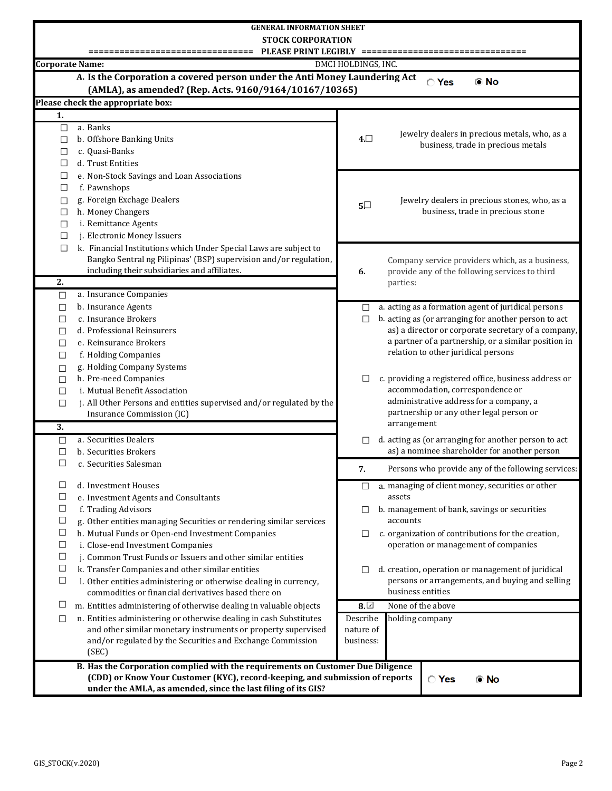|                        | <b>GENERAL INFORMATION SHEET</b>                                                                  |                     |                                                                                                      |  |  |  |  |  |  |
|------------------------|---------------------------------------------------------------------------------------------------|---------------------|------------------------------------------------------------------------------------------------------|--|--|--|--|--|--|
|                        | <b>STOCK CORPORATION</b>                                                                          |                     |                                                                                                      |  |  |  |  |  |  |
|                        | PLEASE PRINT LEGIBLY =======<br>==========================                                        |                     |                                                                                                      |  |  |  |  |  |  |
| <b>Corporate Name:</b> |                                                                                                   | DMCI HOLDINGS, INC. |                                                                                                      |  |  |  |  |  |  |
|                        | A. Is the Corporation a covered person under the Anti Money Laundering Act                        |                     |                                                                                                      |  |  |  |  |  |  |
|                        | (AMLA), as amended? (Rep. Acts. 9160/9164/10167/10365)                                            |                     | <b>O</b> No<br>◯ Yes                                                                                 |  |  |  |  |  |  |
|                        | Please check the appropriate box:                                                                 |                     |                                                                                                      |  |  |  |  |  |  |
| 1.                     |                                                                                                   |                     |                                                                                                      |  |  |  |  |  |  |
| $\Box$                 | a. Banks                                                                                          |                     |                                                                                                      |  |  |  |  |  |  |
| $\Box$                 | b. Offshore Banking Units                                                                         | $4\square$          | Jewelry dealers in precious metals, who, as a                                                        |  |  |  |  |  |  |
| $\Box$                 | c. Quasi-Banks                                                                                    |                     | business, trade in precious metals                                                                   |  |  |  |  |  |  |
| □                      | d. Trust Entities                                                                                 |                     |                                                                                                      |  |  |  |  |  |  |
| $\Box$                 | e. Non-Stock Savings and Loan Associations                                                        |                     |                                                                                                      |  |  |  |  |  |  |
| $\Box$                 | f. Pawnshops                                                                                      |                     |                                                                                                      |  |  |  |  |  |  |
| $\Box$                 | g. Foreign Exchage Dealers                                                                        |                     | Jewelry dealers in precious stones, who, as a                                                        |  |  |  |  |  |  |
| $\Box$                 | h. Money Changers                                                                                 | $5\square$          | business, trade in precious stone                                                                    |  |  |  |  |  |  |
| $\Box$                 | i. Remittance Agents                                                                              |                     |                                                                                                      |  |  |  |  |  |  |
| $\Box$                 | j. Electronic Money Issuers                                                                       |                     |                                                                                                      |  |  |  |  |  |  |
| $\Box$                 | k. Financial Institutions which Under Special Laws are subject to                                 |                     |                                                                                                      |  |  |  |  |  |  |
|                        | Bangko Sentral ng Pilipinas' (BSP) supervision and/or regulation,                                 |                     | Company service providers which, as a business,                                                      |  |  |  |  |  |  |
|                        | including their subsidiaries and affiliates.                                                      | 6.                  | provide any of the following services to third                                                       |  |  |  |  |  |  |
| $\overline{2}$ .       |                                                                                                   |                     | parties:                                                                                             |  |  |  |  |  |  |
| $\Box$                 | a. Insurance Companies                                                                            |                     |                                                                                                      |  |  |  |  |  |  |
| $\Box$                 | b. Insurance Agents                                                                               |                     | $\Box$ a. acting as a formation agent of juridical persons                                           |  |  |  |  |  |  |
| $\Box$                 | c. Insurance Brokers                                                                              | $\Box$              | b. acting as (or arranging for another person to act                                                 |  |  |  |  |  |  |
| $\Box$                 | d. Professional Reinsurers                                                                        |                     | as) a director or corporate secretary of a company,                                                  |  |  |  |  |  |  |
| $\Box$                 | e. Reinsurance Brokers                                                                            |                     | a partner of a partnership, or a similar position in<br>relation to other juridical persons          |  |  |  |  |  |  |
| $\Box$                 | f. Holding Companies                                                                              |                     |                                                                                                      |  |  |  |  |  |  |
| $\Box$                 | g. Holding Company Systems                                                                        |                     |                                                                                                      |  |  |  |  |  |  |
| $\Box$                 | h. Pre-need Companies                                                                             | $\Box$              | c. providing a registered office, business address or<br>accommodation, correspondence or            |  |  |  |  |  |  |
| $\Box$                 | i. Mutual Benefit Association                                                                     |                     | administrative address for a company, a                                                              |  |  |  |  |  |  |
| $\Box$                 | j. All Other Persons and entities supervised and/or regulated by the<br>Insurance Commission (IC) |                     | partnership or any other legal person or                                                             |  |  |  |  |  |  |
| $\overline{3}$ .       |                                                                                                   |                     | arrangement                                                                                          |  |  |  |  |  |  |
|                        | a. Securities Dealers                                                                             |                     |                                                                                                      |  |  |  |  |  |  |
| □<br>$\Box$            | b. Securities Brokers                                                                             |                     | d. acting as (or arranging for another person to act<br>as) a nominee shareholder for another person |  |  |  |  |  |  |
| $\Box$                 | c. Securities Salesman                                                                            |                     |                                                                                                      |  |  |  |  |  |  |
|                        |                                                                                                   | 7.                  | Persons who provide any of the following services:                                                   |  |  |  |  |  |  |
| □                      | d. Investment Houses                                                                              | $\Box$              | a. managing of client money, securities or other                                                     |  |  |  |  |  |  |
| $\Box$                 | e. Investment Agents and Consultants                                                              |                     | assets                                                                                               |  |  |  |  |  |  |
| $\Box$                 | f. Trading Advisors                                                                               | ⊔                   | b. management of bank, savings or securities                                                         |  |  |  |  |  |  |
| $\Box$                 | g. Other entities managing Securities or rendering similar services                               |                     | accounts                                                                                             |  |  |  |  |  |  |
| $\Box$                 | h. Mutual Funds or Open-end Investment Companies                                                  | $\Box$              | c. organization of contributions for the creation,                                                   |  |  |  |  |  |  |
| $\Box$                 | i. Close-end Investment Companies                                                                 |                     | operation or management of companies                                                                 |  |  |  |  |  |  |
| $\Box$                 | j. Common Trust Funds or Issuers and other similar entities                                       |                     |                                                                                                      |  |  |  |  |  |  |
| $\Box$                 | k. Transfer Companies and other similar entities                                                  | $\Box$              | d. creation, operation or management of juridical                                                    |  |  |  |  |  |  |
| $\Box$                 | l. Other entities administering or otherwise dealing in currency,                                 |                     | persons or arrangements, and buying and selling                                                      |  |  |  |  |  |  |
|                        | commodities or financial derivatives based there on                                               |                     | business entities                                                                                    |  |  |  |  |  |  |
| $\Box$                 | m. Entities administering of otherwise dealing in valuable objects                                | $\overline{8}$ .    | None of the above                                                                                    |  |  |  |  |  |  |
| $\Box$                 | n. Entities administering or otherwise dealing in cash Substitutes                                | Describe            | holding company                                                                                      |  |  |  |  |  |  |
|                        | and other similar monetary instruments or property supervised                                     | nature of           |                                                                                                      |  |  |  |  |  |  |
|                        | and/or regulated by the Securities and Exchange Commission                                        | business:           |                                                                                                      |  |  |  |  |  |  |
|                        | (SEC)                                                                                             |                     |                                                                                                      |  |  |  |  |  |  |
|                        | B. Has the Corporation complied with the requirements on Customer Due Diligence                   |                     |                                                                                                      |  |  |  |  |  |  |
|                        | (CDD) or Know Your Customer (KYC), record-keeping, and submission of reports                      |                     | ◯ Yes<br>® No                                                                                        |  |  |  |  |  |  |
|                        | under the AMLA, as amended, since the last filing of its GIS?                                     |                     |                                                                                                      |  |  |  |  |  |  |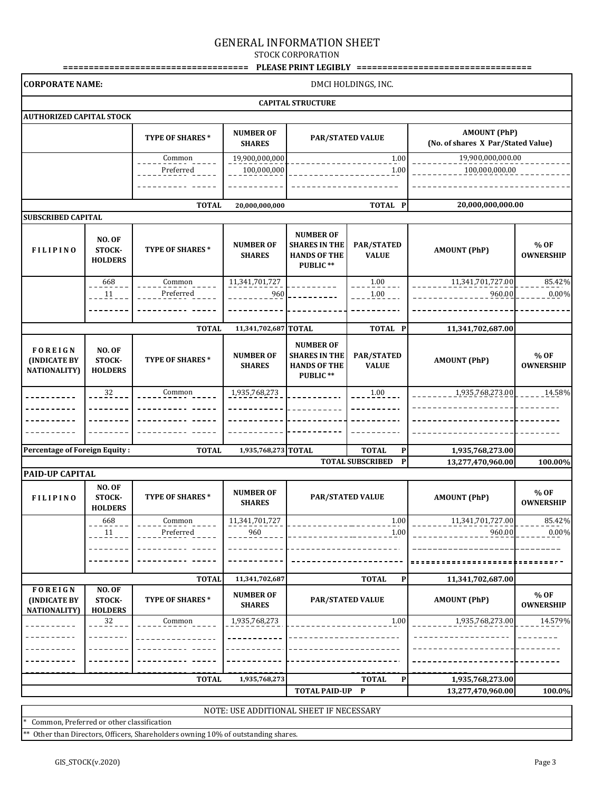## GENERAL INFORMATION SHEET

STOCK CORPORATION

|                                                |                                               |                        |                                   |                                                                                                           |                                         | PLEASE PRINT LEGIBLY ===================================  |                          |  |  |  |
|------------------------------------------------|-----------------------------------------------|------------------------|-----------------------------------|-----------------------------------------------------------------------------------------------------------|-----------------------------------------|-----------------------------------------------------------|--------------------------|--|--|--|
|                                                | <b>CORPORATE NAME:</b><br>DMCI HOLDINGS, INC. |                        |                                   |                                                                                                           |                                         |                                                           |                          |  |  |  |
|                                                |                                               |                        |                                   | <b>CAPITAL STRUCTURE</b>                                                                                  |                                         |                                                           |                          |  |  |  |
| <b>AUTHORIZED CAPITAL STOCK</b>                |                                               |                        |                                   |                                                                                                           |                                         |                                                           |                          |  |  |  |
|                                                |                                               | <b>TYPE OF SHARES*</b> | <b>NUMBER OF</b><br><b>SHARES</b> |                                                                                                           | <b>PAR/STATED VALUE</b>                 | <b>AMOUNT (PhP)</b><br>(No. of shares X Par/Stated Value) |                          |  |  |  |
|                                                |                                               | Common<br>Preferred    | 19,900,000,000<br>100,000,000     |                                                                                                           | 1.00<br>1.00                            | 19,900,000,000.00<br>100,000,000.00                       |                          |  |  |  |
|                                                |                                               |                        |                                   |                                                                                                           |                                         |                                                           |                          |  |  |  |
|                                                |                                               | <b>TOTAL</b>           | 20,000,000,000                    |                                                                                                           | TOTAL P                                 | 20,000,000,000.00                                         |                          |  |  |  |
| <b>SUBSCRIBED CAPITAL</b>                      |                                               |                        |                                   |                                                                                                           |                                         |                                                           |                          |  |  |  |
| <b>FILIPINO</b>                                | <b>NO. OF</b><br>STOCK-<br><b>HOLDERS</b>     | TYPE OF SHARES*        | <b>NUMBER OF</b><br><b>SHARES</b> | <b>NUMBER OF</b><br><b>SHARES IN THE</b><br>PAR/STATED<br><b>HANDS OF THE</b><br><b>VALUE</b><br>PUBLIC** |                                         | <b>AMOUNT (PhP)</b>                                       | % OF<br><b>OWNERSHIP</b> |  |  |  |
|                                                | 668<br>11                                     | Common<br>Preferred    | 11,341,701,727<br>960             |                                                                                                           | 1.00<br>1.00                            | 11,341,701,727.00<br>960.00                               | 85.42%<br>$0.00\%$       |  |  |  |
|                                                |                                               |                        |                                   |                                                                                                           |                                         |                                                           |                          |  |  |  |
|                                                |                                               | <b>TOTAL</b>           | 11,341,702,687 TOTAL              |                                                                                                           | TOTAL P                                 | 11,341,702,687.00                                         |                          |  |  |  |
| FOREIGN<br>(INDICATE BY<br><b>NATIONALITY)</b> | <b>NO. OF</b><br>STOCK-<br><b>HOLDERS</b>     | <b>TYPE OF SHARES*</b> | <b>NUMBER OF</b><br><b>SHARES</b> | <b>NUMBER OF</b><br><b>SHARES IN THE</b><br><b>HANDS OF THE</b><br>PUBLIC**                               | PAR/STATED<br><b>VALUE</b>              | <b>AMOUNT (PhP)</b>                                       | % OF<br><b>OWNERSHIP</b> |  |  |  |
|                                                | 32                                            | Common                 | 1,935,768,273                     |                                                                                                           | 1.00                                    | 1,935,768,273.00                                          | $-2 - 14.58\%$           |  |  |  |
|                                                |                                               |                        |                                   |                                                                                                           |                                         |                                                           |                          |  |  |  |
|                                                |                                               |                        |                                   |                                                                                                           |                                         |                                                           |                          |  |  |  |
| <b>Percentage of Foreign Equity:</b>           |                                               | <b>TOTAL</b>           | 1,935,768,273 TOTAL               |                                                                                                           | <b>TOTAL</b><br>$\mathbf P$             |                                                           |                          |  |  |  |
|                                                |                                               |                        |                                   |                                                                                                           | <b>TOTAL SUBSCRIBED</b><br>$\mathbf{P}$ | 1,935,768,273.00<br>13,277,470,960.00                     | 100.00%                  |  |  |  |
| <b>PAID-UP CAPITAL</b>                         |                                               |                        |                                   |                                                                                                           |                                         |                                                           |                          |  |  |  |
| <b>FILIPINO</b>                                | <b>NO. OF</b><br>STOCK-<br><b>HOLDERS</b>     | TYPE OF SHARES*        | <b>NUMBER OF</b><br><b>SHARES</b> |                                                                                                           | <b>PAR/STATED VALUE</b>                 | <b>AMOUNT (PhP)</b>                                       | % OF<br><b>OWNERSHIP</b> |  |  |  |
|                                                | 668<br>11                                     | Common<br>Preferred    | 11,341,701,727<br>960             |                                                                                                           | 1.00<br>$-1.00$                         | 11,341,701,727.00<br>960.00                               | 85.42%<br>0.00%          |  |  |  |
|                                                |                                               |                        |                                   |                                                                                                           |                                         |                                                           |                          |  |  |  |
|                                                |                                               | <b>TOTAL</b>           | 11,341,702,687                    |                                                                                                           | <b>TOTAL</b><br>P                       | 11,341,702,687.00                                         |                          |  |  |  |
| <b>FOREIGN</b>                                 | <b>NO. OF</b>                                 |                        |                                   |                                                                                                           |                                         |                                                           |                          |  |  |  |
| (INDICATE BY<br><b>NATIONALITY</b> )           | STOCK-<br><b>HOLDERS</b>                      | TYPE OF SHARES*        | <b>NUMBER OF</b><br><b>SHARES</b> | <b>PAR/STATED VALUE</b>                                                                                   |                                         | <b>AMOUNT (PhP)</b>                                       | % OF<br><b>OWNERSHIP</b> |  |  |  |
|                                                | 32                                            | Common                 | 1,935,768,273                     |                                                                                                           | 1.00                                    | 1,935,768,273.00                                          | 14.579%                  |  |  |  |
|                                                |                                               |                        |                                   |                                                                                                           |                                         |                                                           |                          |  |  |  |
|                                                |                                               |                        |                                   |                                                                                                           |                                         |                                                           |                          |  |  |  |
|                                                |                                               |                        |                                   |                                                                                                           |                                         |                                                           |                          |  |  |  |
|                                                |                                               | <b>TOTAL</b>           | 1,935,768,273                     | <b>TOTAL PAID-UP</b>                                                                                      | <b>TOTAL</b><br>P<br>P                  | 1,935,768,273.00<br>13,277,470,960.00                     | 100.0%                   |  |  |  |
|                                                |                                               |                        |                                   |                                                                                                           |                                         |                                                           |                          |  |  |  |

NOTE: USE ADDITIONAL SHEET IF NECESSARY

Common, Preferred or other classification

\* Other than Directors, Officers, Shareholders owning 10% of outstanding shares.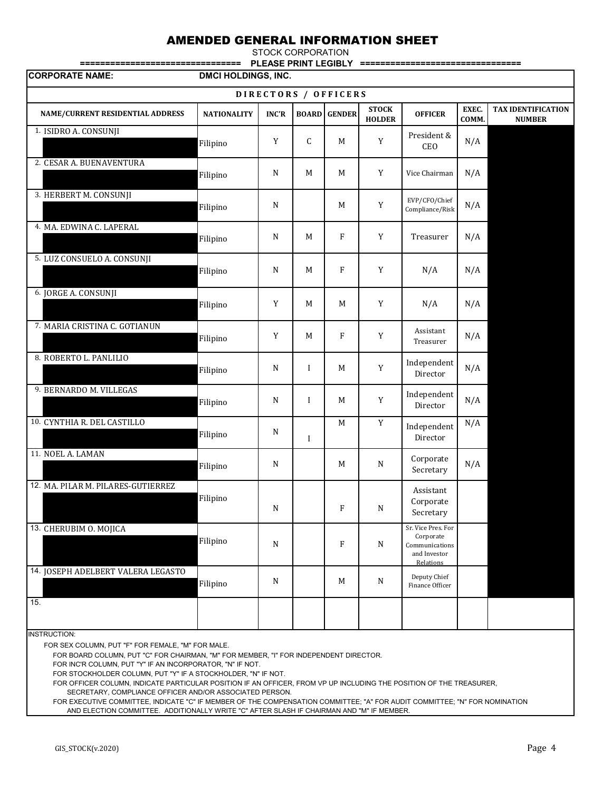# AMENDED GENERAL INFORMATION SHEET

STOCK CORPORATION

**================================ PLEASE PRINT LEGIBLY ================================**

| DMCI HOLDINGS, INC.<br><b>CORPORATE NAME:</b> |                    |              |             |                      |                               |                                                                                |                |                                     |
|-----------------------------------------------|--------------------|--------------|-------------|----------------------|-------------------------------|--------------------------------------------------------------------------------|----------------|-------------------------------------|
|                                               |                    |              |             | DIRECTORS / OFFICERS |                               |                                                                                |                |                                     |
| NAME/CURRENT RESIDENTIAL ADDRESS              | <b>NATIONALITY</b> | <b>INC'R</b> |             | <b>BOARD GENDER</b>  | <b>STOCK</b><br><b>HOLDER</b> | <b>OFFICER</b>                                                                 | EXEC.<br>COMM. | TAX IDENTIFICATION<br><b>NUMBER</b> |
| 1. ISIDRO A. CONSUNJI                         | Filipino           | Y            | C           | M                    | $\mathbf Y$                   | President &<br>CEO                                                             | N/A            |                                     |
| 2. CESAR A. BUENAVENTURA                      | Filipino           | N            | M           | M                    | $\mathbf Y$                   | Vice Chairman                                                                  | N/A            |                                     |
| 3. HERBERT M. CONSUNJI                        | Filipino           | ${\bf N}$    |             | M                    | $\mathbf Y$                   | EVP/CFO/Chief<br>Compliance/Risk                                               | N/A            |                                     |
| 4. MA. EDWINA C. LAPERAL                      | Filipino           | N            | $\mathbf M$ | $\mathbf{F}$         | Y                             | Treasurer                                                                      | N/A            |                                     |
| 5. LUZ CONSUELO A. CONSUNJI                   | Filipino           | ${\bf N}$    | $\mathbf M$ | $\mathbf{F}$         | $\mathbf Y$                   | N/A                                                                            | N/A            |                                     |
| 6. JORGE A. CONSUNJI                          | Filipino           | Y            | M           | M                    | Y                             | N/A                                                                            | N/A            |                                     |
| 7. MARIA CRISTINA C. GOTIANUN                 | Filipino           | $\mathbf Y$  | M           | $\mathbf{F}$         | $\mathbf Y$                   | Assistant<br>Treasurer                                                         | N/A            |                                     |
| 8. ROBERTO L. PANLILIO                        | Filipino           | $\mathbf N$  | $\bf{I}$    | M                    | $\mathbf Y$                   | Independent<br>Director                                                        | N/A            |                                     |
| 9. BERNARDO M. VILLEGAS                       | Filipino           | ${\bf N}$    | $\bf{I}$    | M                    | $\mathbf Y$                   | Independent<br>Director                                                        | N/A            |                                     |
| 10. CYNTHIA R. DEL CASTILLO                   | Filipino           | N            | $\bf{I}$    | $\mathbf M$          | $\mathbf Y$                   | Independent<br>Director                                                        | N/A            |                                     |
| 11. NOEL A. LAMAN                             | Filipino           | $\mathbf N$  |             | M                    | ${\bf N}$                     | Corporate<br>Secretary                                                         | N/A            |                                     |
| 12. MA. PILAR M. PILARES-GUTIERREZ            | Filipino           | $\mathbf N$  |             | F                    | $\mathbf N$                   | Assistant<br>Corporate<br>Secretary                                            |                |                                     |
| 13. CHERUBIM O. MOJICA                        | Filipino           | $\mathbf N$  |             | F                    | N                             | Sr. Vice Pres. For<br>Corporate<br>Communications<br>and Investor<br>Relations |                |                                     |
| 14. JOSEPH ADELBERT VALERA LEGASTO            | Filipino           | $\mathbf N$  |             | M                    | N                             | Deputy Chief<br>Finance Officer                                                |                |                                     |
| 15.                                           |                    |              |             |                      |                               |                                                                                |                |                                     |

INSTRUCTION:

FOR SEX COLUMN, PUT "F" FOR FEMALE, "M" FOR MALE.

FOR BOARD COLUMN, PUT "C" FOR CHAIRMAN, "M" FOR MEMBER, "I" FOR INDEPENDENT DIRECTOR.

FOR INC'R COLUMN, PUT "Y" IF AN INCORPORATOR, "N" IF NOT.

FOR STOCKHOLDER COLUMN, PUT "Y" IF A STOCKHOLDER, "N" IF NOT.

FOR OFFICER COLUMN, INDICATE PARTICULAR POSITION IF AN OFFICER, FROM VP UP INCLUDING THE POSITION OF THE TREASURER,

SECRETARY, COMPLIANCE OFFICER AND/OR ASSOCIATED PERSON.

 FOR EXECUTIVE COMMITTEE, INDICATE "C" IF MEMBER OF THE COMPENSATION COMMITTEE; "A" FOR AUDIT COMMITTEE; "N" FOR NOMINATION AND ELECTION COMMITTEE. ADDITIONALLY WRITE "C" AFTER SLASH IF CHAIRMAN AND "M" IF MEMBER.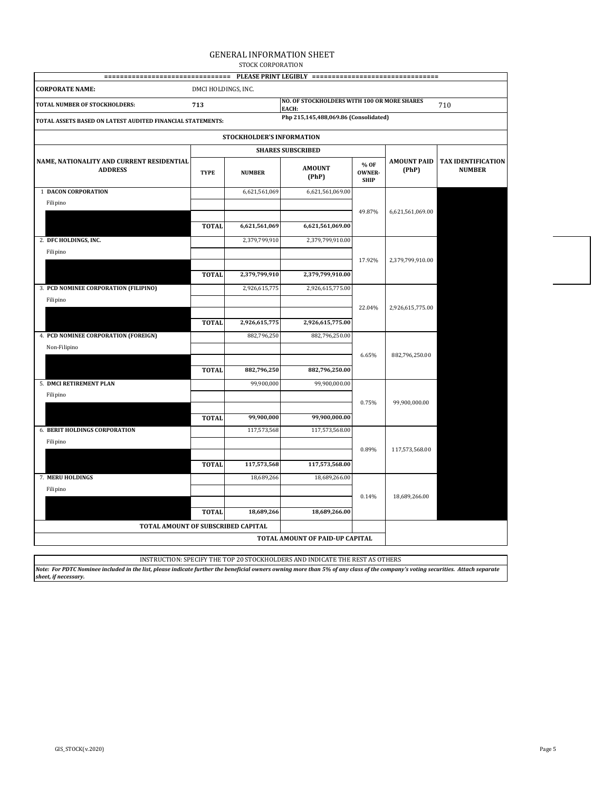### GENERAL INFORMATION SHEET STOCK CORPORATION

| =================================                           |                     |                           | PLEASE PRINT LEGIBLY ================================= |                                      |                             |                                            |
|-------------------------------------------------------------|---------------------|---------------------------|--------------------------------------------------------|--------------------------------------|-----------------------------|--------------------------------------------|
| <b>CORPORATE NAME:</b>                                      | DMCI HOLDINGS, INC. |                           |                                                        |                                      |                             |                                            |
| TOTAL NUMBER OF STOCKHOLDERS:                               | 713                 |                           | NO. OF STOCKHOLDERS WITH 100 OR MORE SHARES<br>EACH:   |                                      |                             | 710                                        |
| TOTAL ASSETS BASED ON LATEST AUDITED FINANCIAL STATEMENTS:  |                     |                           | Php 215,145,488,069.86 (Consolidated)                  |                                      |                             |                                            |
|                                                             |                     | STOCKHOLDER'S INFORMATION |                                                        |                                      |                             |                                            |
|                                                             |                     |                           | <b>SHARES SUBSCRIBED</b>                               |                                      |                             |                                            |
| NAME, NATIONALITY AND CURRENT RESIDENTIAL<br><b>ADDRESS</b> | <b>TYPE</b>         | <b>NUMBER</b>             | <b>AMOUNT</b><br>(PhP)                                 | % OF<br><b>OWNER-</b><br><b>SHIP</b> | <b>AMOUNT PAID</b><br>(PhP) | <b>TAX IDENTIFICATION</b><br><b>NUMBER</b> |
| <b>1 DACON CORPORATION</b>                                  |                     | 6,621,561,069             | 6,621,561,069.00                                       |                                      |                             |                                            |
| Filipino                                                    |                     |                           |                                                        | 49.87%                               |                             |                                            |
|                                                             | <b>TOTAL</b>        | 6,621,561,069             | 6,621,561,069.00                                       |                                      | 6,621,561,069.00            |                                            |
| 2. DFC HOLDINGS, INC.                                       |                     | 2,379,799,910             | 2,379,799,910.00                                       |                                      |                             |                                            |
| Filipino                                                    |                     |                           |                                                        |                                      |                             |                                            |
|                                                             |                     |                           |                                                        | 17.92%                               | 2,379,799,910.00            |                                            |
|                                                             | <b>TOTAL</b>        | 2,379,799,910             | 2,379,799,910.00                                       |                                      |                             |                                            |
| 3. PCD NOMINEE CORPORATION (FILIPINO)                       |                     | 2,926,615,775             | 2,926,615,775.00                                       |                                      |                             |                                            |
| Filipino                                                    |                     |                           |                                                        |                                      |                             |                                            |
|                                                             | <b>TOTAL</b>        | 2,926,615,775             | 2,926,615,775.00                                       | 22.04%                               | 2,926,615,775.00            |                                            |
| 4. PCD NOMINEE CORPORATION (FOREIGN)                        |                     | 882,796,250               | 882,796,250.00                                         |                                      |                             |                                            |
| Non-Filipino                                                |                     |                           |                                                        |                                      |                             |                                            |
|                                                             |                     |                           |                                                        | 6.65%                                | 882,796,250.00              |                                            |
|                                                             | <b>TOTAL</b>        | 882,796,250               | 882,796,250.00                                         |                                      |                             |                                            |
| 5. DMCI RETIREMENT PLAN                                     |                     | 99,900,000                | 99,900,000.00                                          |                                      |                             |                                            |
| Filipino                                                    |                     |                           |                                                        | 0.75%                                | 99,900,000.00               |                                            |
|                                                             |                     |                           |                                                        |                                      |                             |                                            |
|                                                             | <b>TOTAL</b>        | 99,900,000                | 99,900,000.00                                          |                                      |                             |                                            |
| <b>6. BERIT HOLDINGS CORPORATION</b>                        |                     | 117,573,568               | 117,573,568.00                                         |                                      |                             |                                            |
| Filipino                                                    |                     |                           |                                                        | 0.89%                                | 117,573,568.00              |                                            |
|                                                             | <b>TOTAL</b>        | 117,573,568               | 117,573,568.00                                         |                                      |                             |                                            |
| 7. MERU HOLDINGS                                            |                     | 18,689,266                | 18,689,266.00                                          |                                      |                             |                                            |
| Filipino                                                    |                     |                           |                                                        |                                      |                             |                                            |
|                                                             |                     |                           |                                                        | 0.14%                                | 18,689,266.00               |                                            |
|                                                             | <b>TOTAL</b>        | 18,689,266                | 18,689,266.00                                          |                                      |                             |                                            |
| TOTAL AMOUNT OF SUBSCRIBED CAPITAL                          |                     |                           |                                                        |                                      |                             |                                            |
|                                                             |                     |                           | TOTAL AMOUNT OF PAID-UP CAPITAL                        |                                      |                             |                                            |
|                                                             |                     |                           |                                                        |                                      |                             |                                            |

*Note: For PDTC Nominee included in the list, please indicate further the beneficial owners owning more than 5% of any class of the company's voting securities. Attach separate sheet, if necessary.* INSTRUCTION: SPECIFY THE TOP 20 STOCKHOLDERS AND INDICATE THE REST AS OTHERS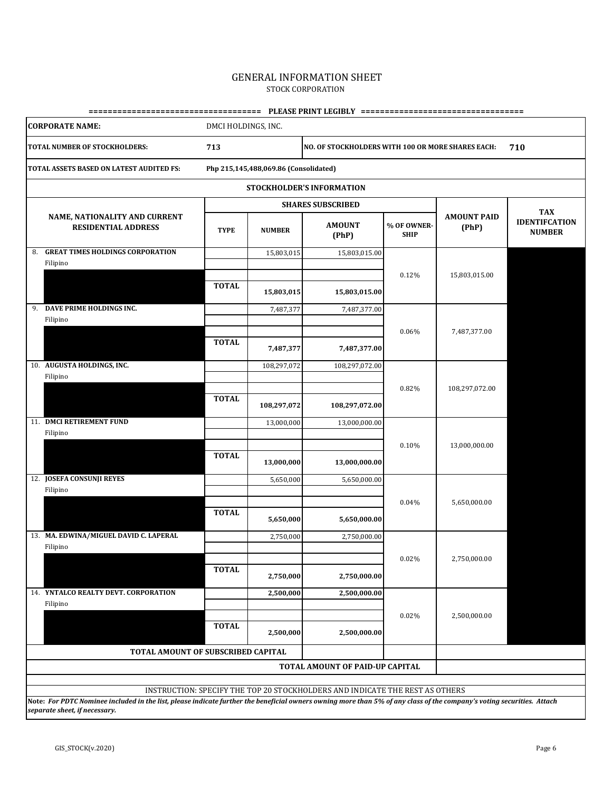### GENERAL INFORMATION SHEET STOCK CORPORATION

| <b>CORPORATE NAME:</b>                                                                                                                                                                                  | DMCI HOLDINGS, INC. |                                       |                                                                              |                            |                             |                                                     |  |  |  |
|---------------------------------------------------------------------------------------------------------------------------------------------------------------------------------------------------------|---------------------|---------------------------------------|------------------------------------------------------------------------------|----------------------------|-----------------------------|-----------------------------------------------------|--|--|--|
| TOTAL NUMBER OF STOCKHOLDERS:                                                                                                                                                                           | 713                 |                                       | NO. OF STOCKHOLDERS WITH 100 OR MORE SHARES EACH:<br>710                     |                            |                             |                                                     |  |  |  |
| TOTAL ASSETS BASED ON LATEST AUDITED FS:                                                                                                                                                                |                     | Php 215,145,488,069.86 (Consolidated) |                                                                              |                            |                             |                                                     |  |  |  |
|                                                                                                                                                                                                         |                     |                                       | STOCKHOLDER'S INFORMATION                                                    |                            |                             |                                                     |  |  |  |
|                                                                                                                                                                                                         |                     |                                       | <b>SHARES SUBSCRIBED</b>                                                     |                            |                             |                                                     |  |  |  |
| NAME, NATIONALITY AND CURRENT<br><b>RESIDENTIAL ADDRESS</b>                                                                                                                                             | <b>TYPE</b>         | <b>NUMBER</b>                         | <b>AMOUNT</b><br>(PhP)                                                       | % OF OWNER-<br><b>SHIP</b> | <b>AMOUNT PAID</b><br>(PhP) | <b>TAX</b><br><b>IDENTIFCATION</b><br><b>NUMBER</b> |  |  |  |
| <b>GREAT TIMES HOLDINGS CORPORATION</b><br>8.<br>Filipino                                                                                                                                               |                     | 15,803,015                            | 15,803,015.00                                                                |                            |                             |                                                     |  |  |  |
|                                                                                                                                                                                                         | <b>TOTAL</b>        | 15,803,015                            | 15,803,015.00                                                                | 0.12%                      | 15,803,015.00               |                                                     |  |  |  |
| 9. DAVE PRIME HOLDINGS INC.<br>Filipino                                                                                                                                                                 |                     | 7,487,377                             | 7,487,377.00                                                                 |                            |                             |                                                     |  |  |  |
|                                                                                                                                                                                                         | <b>TOTAL</b>        | 7,487,377                             | 7,487,377.00                                                                 | 0.06%                      | 7,487,377.00                |                                                     |  |  |  |
| 10. AUGUSTA HOLDINGS, INC.<br>Filipino                                                                                                                                                                  |                     | 108,297,072                           | 108,297,072.00                                                               |                            |                             |                                                     |  |  |  |
|                                                                                                                                                                                                         | <b>TOTAL</b>        | 108,297,072                           | 108,297,072.00                                                               | 0.82%                      | 108,297,072.00              |                                                     |  |  |  |
| 11. DMCI RETIREMENT FUND<br>Filipino                                                                                                                                                                    |                     | 13,000,000                            | 13,000,000.00                                                                |                            |                             |                                                     |  |  |  |
|                                                                                                                                                                                                         | <b>TOTAL</b>        | 13,000,000                            | 13,000,000.00                                                                | 0.10%                      | 13,000,000.00               |                                                     |  |  |  |
| 12. JOSEFA CONSUNJI REYES<br>Filipino                                                                                                                                                                   |                     | 5,650,000                             | 5,650,000.00                                                                 |                            |                             |                                                     |  |  |  |
|                                                                                                                                                                                                         | <b>TOTAL</b>        | 5,650,000                             | 5,650,000.00                                                                 | 0.04%                      | 5,650,000.00                |                                                     |  |  |  |
| 13. MA. EDWINA/MIGUEL DAVID C. LAPERAL<br>Filipino                                                                                                                                                      |                     | 2,750,000                             | 2,750,000.00                                                                 |                            |                             |                                                     |  |  |  |
|                                                                                                                                                                                                         | <b>TOTAL</b>        | 2,750,000                             | 2,750,000.00                                                                 | 0.02%                      | 2,750,000.00                |                                                     |  |  |  |
| 14. YNTALCO REALTY DEVT. CORPORATION<br>Filipino                                                                                                                                                        |                     | 2,500,000                             | 2,500,000.00                                                                 |                            |                             |                                                     |  |  |  |
|                                                                                                                                                                                                         | <b>TOTAL</b>        | 2,500,000                             | 2,500,000.00                                                                 | 0.02%                      | 2,500,000.00                |                                                     |  |  |  |
| <b>TOTAL AMOUNT OF SUBSCRIBED CAPITAL</b>                                                                                                                                                               |                     |                                       |                                                                              |                            |                             |                                                     |  |  |  |
|                                                                                                                                                                                                         |                     |                                       | TOTAL AMOUNT OF PAID-UP CAPITAL                                              |                            |                             |                                                     |  |  |  |
|                                                                                                                                                                                                         |                     |                                       | INSTRUCTION: SPECIFY THE TOP 20 STOCKHOLDERS AND INDICATE THE REST AS OTHERS |                            |                             |                                                     |  |  |  |
| Note: For PDTC Nominee included in the list, please indicate further the beneficial owners owning more than 5% of any class of the company's voting securities. Attach<br>separate sheet, if necessary. |                     |                                       |                                                                              |                            |                             |                                                     |  |  |  |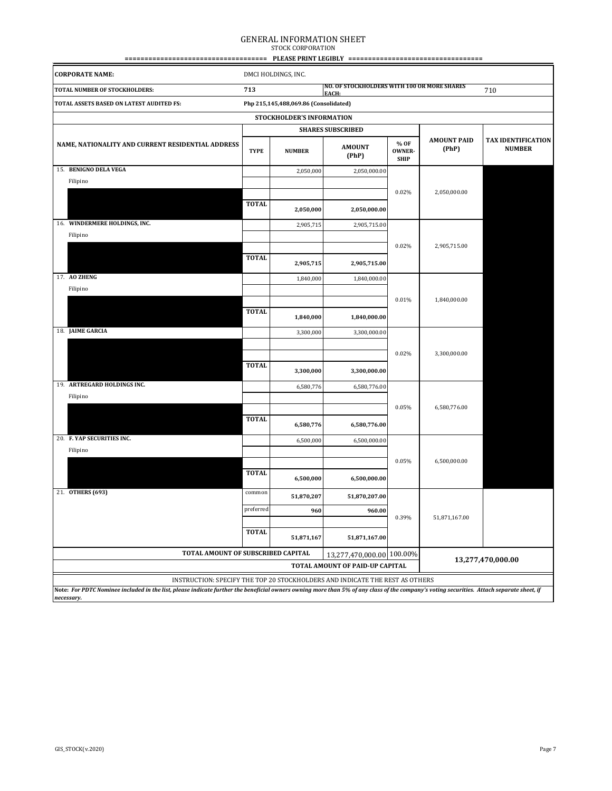# GENERAL INFORMATION SHEET STOCK CORPORATION

|                                                                                                                                                                                                         |              | <b>PLEASE PRINT LEGIBLY</b>           | ========                                             |                                      | ====                        |                                            |
|---------------------------------------------------------------------------------------------------------------------------------------------------------------------------------------------------------|--------------|---------------------------------------|------------------------------------------------------|--------------------------------------|-----------------------------|--------------------------------------------|
| <b>CORPORATE NAME:</b>                                                                                                                                                                                  |              | DMCI HOLDINGS, INC.                   |                                                      |                                      |                             |                                            |
| TOTAL NUMBER OF STOCKHOLDERS:                                                                                                                                                                           | 713          |                                       | NO. OF STOCKHOLDERS WITH 100 OR MORE SHARES<br>EACH: |                                      |                             | 710                                        |
| TOTAL ASSETS BASED ON LATEST AUDITED FS:                                                                                                                                                                |              | Php 215,145,488,069.86 (Consolidated) |                                                      |                                      |                             |                                            |
|                                                                                                                                                                                                         |              | STOCKHOLDER'S INFORMATION             |                                                      |                                      |                             |                                            |
|                                                                                                                                                                                                         |              |                                       | <b>SHARES SUBSCRIBED</b>                             |                                      |                             |                                            |
| NAME, NATIONALITY AND CURRENT RESIDENTIAL ADDRESS                                                                                                                                                       | <b>TYPE</b>  | <b>NUMBER</b>                         | <b>AMOUNT</b><br>(PhP)                               | % OF<br><b>OWNER-</b><br><b>SHIP</b> | <b>AMOUNT PAID</b><br>(PhP) | <b>TAX IDENTIFICATION</b><br><b>NUMBER</b> |
| 15. BENIGNO DELA VEGA                                                                                                                                                                                   |              | 2,050,000                             | 2,050,000.00                                         |                                      |                             |                                            |
| Filipino                                                                                                                                                                                                |              |                                       |                                                      |                                      |                             |                                            |
|                                                                                                                                                                                                         | <b>TOTAL</b> | 2,050,000                             | 2,050,000.00                                         | 0.02%                                | 2,050,000.00                |                                            |
| 16. WINDERMERE HOLDINGS, INC.                                                                                                                                                                           |              | 2,905,715                             | 2,905,715.00                                         |                                      |                             |                                            |
| Filipino                                                                                                                                                                                                |              |                                       |                                                      |                                      |                             |                                            |
|                                                                                                                                                                                                         |              |                                       |                                                      | 0.02%                                | 2,905,715.00                |                                            |
|                                                                                                                                                                                                         | <b>TOTAL</b> | 2,905,715                             | 2,905,715.00                                         |                                      |                             |                                            |
| 17. AO ZHENG                                                                                                                                                                                            |              | 1,840,000                             | 1,840,000.00                                         |                                      |                             |                                            |
| Filipino                                                                                                                                                                                                |              |                                       |                                                      |                                      |                             |                                            |
|                                                                                                                                                                                                         | <b>TOTAL</b> |                                       |                                                      | 0.01%                                | 1,840,000.00                |                                            |
|                                                                                                                                                                                                         |              | 1,840,000                             | 1,840,000.00                                         |                                      |                             |                                            |
| 18. JAIME GARCIA                                                                                                                                                                                        |              | 3,300,000                             | 3,300,000.00                                         |                                      |                             |                                            |
|                                                                                                                                                                                                         |              |                                       |                                                      |                                      |                             |                                            |
|                                                                                                                                                                                                         | <b>TOTAL</b> |                                       |                                                      | 0.02%                                | 3,300,000.00                |                                            |
|                                                                                                                                                                                                         |              | 3,300,000                             | 3,300,000.00                                         |                                      |                             |                                            |
| 19. ARTREGARD HOLDINGS INC.                                                                                                                                                                             |              | 6,580,776                             | 6,580,776.00                                         |                                      |                             |                                            |
| Filipino                                                                                                                                                                                                |              |                                       |                                                      | 0.05%                                | 6,580,776.00                |                                            |
|                                                                                                                                                                                                         | <b>TOTAL</b> |                                       |                                                      |                                      |                             |                                            |
|                                                                                                                                                                                                         |              | 6,580,776                             | 6,580,776.00                                         |                                      |                             |                                            |
| 20. F. YAP SECURITIES INC.<br>Filipino                                                                                                                                                                  |              | 6,500,000                             | 6,500,000.00                                         |                                      |                             |                                            |
|                                                                                                                                                                                                         |              |                                       |                                                      | 0.05%                                | 6,500,000.00                |                                            |
|                                                                                                                                                                                                         | <b>TOTAL</b> | 6,500,000                             | 6,500,000.00                                         |                                      |                             |                                            |
| 21. OTHERS (693)                                                                                                                                                                                        | common       | 51,870,207                            | 51,870,207.00                                        |                                      |                             |                                            |
|                                                                                                                                                                                                         | preferred    | 960                                   | 960.00                                               |                                      |                             |                                            |
|                                                                                                                                                                                                         |              |                                       |                                                      | 0.39%                                | 51,871,167.00               |                                            |
|                                                                                                                                                                                                         | <b>TOTAL</b> | 51,871,167                            | 51,871,167.00                                        |                                      |                             |                                            |
| TOTAL AMOUNT OF SUBSCRIBED CAPITAL                                                                                                                                                                      |              |                                       | 13,277,470,000.00 100.00%                            |                                      |                             |                                            |
|                                                                                                                                                                                                         |              |                                       | TOTAL AMOUNT OF PAID-UP CAPITAL                      |                                      |                             | 13,277,470,000.00                          |
| INSTRUCTION: SPECIFY THE TOP 20 STOCKHOLDERS AND INDICATE THE REST AS OTHERS                                                                                                                            |              |                                       |                                                      |                                      |                             |                                            |
| Note: For PDTC Nominee included in the list, please indicate further the beneficial owners owning more than 5% of any class of the company's voting securities. Attach separate sheet, if<br>necessary. |              |                                       |                                                      |                                      |                             |                                            |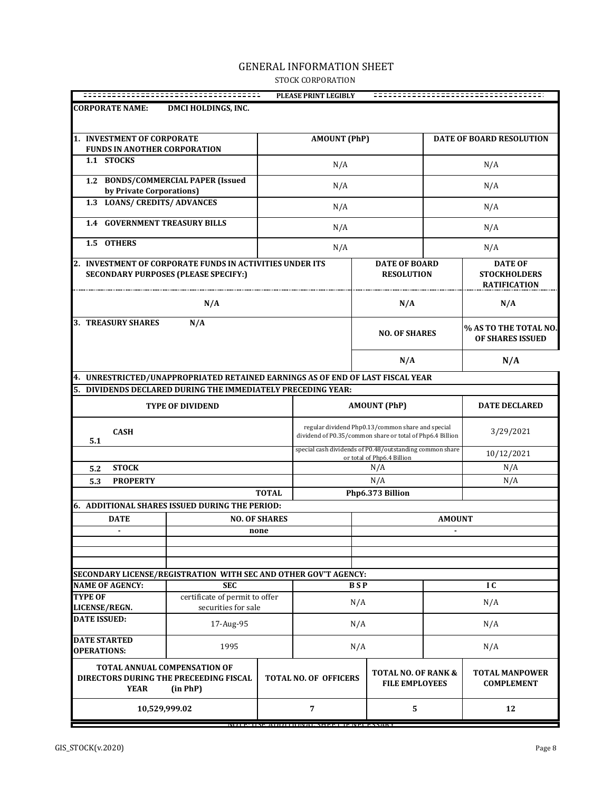## GENERAL INFORMATION SHEET STOCK CORPORATION

| DMCI HOLDINGS, INC.<br><b>CORPORATE NAME:</b><br>1. INVESTMENT OF CORPORATE<br><b>AMOUNT (PhP)</b><br><b>DATE OF BOARD RESOLUTION</b><br><b>FUNDS IN ANOTHER CORPORATION</b><br>1.1 STOCKS<br>N/A<br>N/A<br>1.2 BONDS/COMMERCIAL PAPER (Issued<br>N/A<br>N/A<br>by Private Corporations)<br>1.3 LOANS/ CREDITS/ ADVANCES<br>N/A<br>N/A<br><b>1.4 GOVERNMENT TREASURY BILLS</b><br>N/A<br>N/A<br>1.5 OTHERS<br>N/A<br>N/A<br>2. INVESTMENT OF CORPORATE FUNDS IN ACTIVITIES UNDER ITS<br><b>DATE OF BOARD</b><br><b>DATE OF</b><br><b>SECONDARY PURPOSES (PLEASE SPECIFY:)</b><br><b>RESOLUTION</b><br><b>STOCKHOLDERS</b><br><b>RATIFICATION</b><br>N/A<br>N/A<br>N/A<br>N/A<br><b>NO. OF SHARES</b><br>OF SHARES ISSUED<br>N/A<br>N/A<br>4. UNRESTRICTED/UNAPPROPRIATED RETAINED EARNINGS AS OF END OF LAST FISCAL YEAR<br>DIVIDENDS DECLARED DURING THE IMMEDIATELY PRECEDING YEAR:<br>5.<br><b>AMOUNT (PhP)</b><br><b>DATE DECLARED</b><br><b>TYPE OF DIVIDEND</b><br>regular dividend Php0.13/common share and special<br><b>CASH</b><br>3/29/2021<br>dividend of P0.35/common share or total of Php6.4 Billion<br>5.1<br>special cash dividends of P0.48/outstanding common share<br>10/12/2021<br>or total of Php6.4 Billion<br><b>STOCK</b><br>N/A<br>N/A<br>5.2<br>N/A<br>N/A<br><b>PROPERTY</b><br>5.3<br>Php6.373 Billion<br><b>TOTAL</b><br>6. ADDITIONAL SHARES ISSUED DURING THE PERIOD:<br><b>NO. OF SHARES</b><br><b>DATE</b><br><b>AMOUNT</b><br>none<br>SECONDARY LICENSE/REGISTRATION WITH SEC AND OTHER GOV'T AGENCY:<br><b>NAME OF AGENCY:</b><br><b>SEC</b><br><b>BSP</b><br>IC<br>certificate of permit to offer<br><b>TYPE OF</b><br>N/A<br>N/A<br>securities for sale<br>LICENSE/REGN.<br><b>DATE ISSUED:</b><br>17-Aug-95<br>N/A<br>N/A<br>1995<br>N/A<br>N/A<br><b>OPERATIONS:</b><br><b>TOTAL ANNUAL COMPENSATION OF</b><br>TOTAL NO. OF RANK &<br><b>TOTAL MANPOWER</b><br>DIRECTORS DURING THE PRECEEDING FISCAL<br><b>TOTAL NO. OF OFFICERS</b><br><b>FILE EMPLOYEES</b><br><b>COMPLEMENT</b><br><b>YEAR</b><br>(in PhP)<br>7<br>5<br>12<br>10,529,999.02 |                           |  |  | PLEASE PRINT LEGIBLY |  |  |  |                       |
|-----------------------------------------------------------------------------------------------------------------------------------------------------------------------------------------------------------------------------------------------------------------------------------------------------------------------------------------------------------------------------------------------------------------------------------------------------------------------------------------------------------------------------------------------------------------------------------------------------------------------------------------------------------------------------------------------------------------------------------------------------------------------------------------------------------------------------------------------------------------------------------------------------------------------------------------------------------------------------------------------------------------------------------------------------------------------------------------------------------------------------------------------------------------------------------------------------------------------------------------------------------------------------------------------------------------------------------------------------------------------------------------------------------------------------------------------------------------------------------------------------------------------------------------------------------------------------------------------------------------------------------------------------------------------------------------------------------------------------------------------------------------------------------------------------------------------------------------------------------------------------------------------------------------------------------------------------------------------------------------------------------------------------------------------------------------------------------------|---------------------------|--|--|----------------------|--|--|--|-----------------------|
|                                                                                                                                                                                                                                                                                                                                                                                                                                                                                                                                                                                                                                                                                                                                                                                                                                                                                                                                                                                                                                                                                                                                                                                                                                                                                                                                                                                                                                                                                                                                                                                                                                                                                                                                                                                                                                                                                                                                                                                                                                                                                         |                           |  |  |                      |  |  |  |                       |
|                                                                                                                                                                                                                                                                                                                                                                                                                                                                                                                                                                                                                                                                                                                                                                                                                                                                                                                                                                                                                                                                                                                                                                                                                                                                                                                                                                                                                                                                                                                                                                                                                                                                                                                                                                                                                                                                                                                                                                                                                                                                                         |                           |  |  |                      |  |  |  |                       |
|                                                                                                                                                                                                                                                                                                                                                                                                                                                                                                                                                                                                                                                                                                                                                                                                                                                                                                                                                                                                                                                                                                                                                                                                                                                                                                                                                                                                                                                                                                                                                                                                                                                                                                                                                                                                                                                                                                                                                                                                                                                                                         |                           |  |  |                      |  |  |  |                       |
|                                                                                                                                                                                                                                                                                                                                                                                                                                                                                                                                                                                                                                                                                                                                                                                                                                                                                                                                                                                                                                                                                                                                                                                                                                                                                                                                                                                                                                                                                                                                                                                                                                                                                                                                                                                                                                                                                                                                                                                                                                                                                         |                           |  |  |                      |  |  |  |                       |
|                                                                                                                                                                                                                                                                                                                                                                                                                                                                                                                                                                                                                                                                                                                                                                                                                                                                                                                                                                                                                                                                                                                                                                                                                                                                                                                                                                                                                                                                                                                                                                                                                                                                                                                                                                                                                                                                                                                                                                                                                                                                                         |                           |  |  |                      |  |  |  |                       |
|                                                                                                                                                                                                                                                                                                                                                                                                                                                                                                                                                                                                                                                                                                                                                                                                                                                                                                                                                                                                                                                                                                                                                                                                                                                                                                                                                                                                                                                                                                                                                                                                                                                                                                                                                                                                                                                                                                                                                                                                                                                                                         |                           |  |  |                      |  |  |  |                       |
|                                                                                                                                                                                                                                                                                                                                                                                                                                                                                                                                                                                                                                                                                                                                                                                                                                                                                                                                                                                                                                                                                                                                                                                                                                                                                                                                                                                                                                                                                                                                                                                                                                                                                                                                                                                                                                                                                                                                                                                                                                                                                         |                           |  |  |                      |  |  |  |                       |
|                                                                                                                                                                                                                                                                                                                                                                                                                                                                                                                                                                                                                                                                                                                                                                                                                                                                                                                                                                                                                                                                                                                                                                                                                                                                                                                                                                                                                                                                                                                                                                                                                                                                                                                                                                                                                                                                                                                                                                                                                                                                                         |                           |  |  |                      |  |  |  |                       |
|                                                                                                                                                                                                                                                                                                                                                                                                                                                                                                                                                                                                                                                                                                                                                                                                                                                                                                                                                                                                                                                                                                                                                                                                                                                                                                                                                                                                                                                                                                                                                                                                                                                                                                                                                                                                                                                                                                                                                                                                                                                                                         |                           |  |  |                      |  |  |  |                       |
|                                                                                                                                                                                                                                                                                                                                                                                                                                                                                                                                                                                                                                                                                                                                                                                                                                                                                                                                                                                                                                                                                                                                                                                                                                                                                                                                                                                                                                                                                                                                                                                                                                                                                                                                                                                                                                                                                                                                                                                                                                                                                         | <b>3. TREASURY SHARES</b> |  |  |                      |  |  |  | % AS TO THE TOTAL NO. |
|                                                                                                                                                                                                                                                                                                                                                                                                                                                                                                                                                                                                                                                                                                                                                                                                                                                                                                                                                                                                                                                                                                                                                                                                                                                                                                                                                                                                                                                                                                                                                                                                                                                                                                                                                                                                                                                                                                                                                                                                                                                                                         |                           |  |  |                      |  |  |  |                       |
|                                                                                                                                                                                                                                                                                                                                                                                                                                                                                                                                                                                                                                                                                                                                                                                                                                                                                                                                                                                                                                                                                                                                                                                                                                                                                                                                                                                                                                                                                                                                                                                                                                                                                                                                                                                                                                                                                                                                                                                                                                                                                         |                           |  |  |                      |  |  |  |                       |
|                                                                                                                                                                                                                                                                                                                                                                                                                                                                                                                                                                                                                                                                                                                                                                                                                                                                                                                                                                                                                                                                                                                                                                                                                                                                                                                                                                                                                                                                                                                                                                                                                                                                                                                                                                                                                                                                                                                                                                                                                                                                                         |                           |  |  |                      |  |  |  |                       |
|                                                                                                                                                                                                                                                                                                                                                                                                                                                                                                                                                                                                                                                                                                                                                                                                                                                                                                                                                                                                                                                                                                                                                                                                                                                                                                                                                                                                                                                                                                                                                                                                                                                                                                                                                                                                                                                                                                                                                                                                                                                                                         |                           |  |  |                      |  |  |  |                       |
|                                                                                                                                                                                                                                                                                                                                                                                                                                                                                                                                                                                                                                                                                                                                                                                                                                                                                                                                                                                                                                                                                                                                                                                                                                                                                                                                                                                                                                                                                                                                                                                                                                                                                                                                                                                                                                                                                                                                                                                                                                                                                         |                           |  |  |                      |  |  |  |                       |
|                                                                                                                                                                                                                                                                                                                                                                                                                                                                                                                                                                                                                                                                                                                                                                                                                                                                                                                                                                                                                                                                                                                                                                                                                                                                                                                                                                                                                                                                                                                                                                                                                                                                                                                                                                                                                                                                                                                                                                                                                                                                                         |                           |  |  |                      |  |  |  |                       |
|                                                                                                                                                                                                                                                                                                                                                                                                                                                                                                                                                                                                                                                                                                                                                                                                                                                                                                                                                                                                                                                                                                                                                                                                                                                                                                                                                                                                                                                                                                                                                                                                                                                                                                                                                                                                                                                                                                                                                                                                                                                                                         |                           |  |  |                      |  |  |  |                       |
|                                                                                                                                                                                                                                                                                                                                                                                                                                                                                                                                                                                                                                                                                                                                                                                                                                                                                                                                                                                                                                                                                                                                                                                                                                                                                                                                                                                                                                                                                                                                                                                                                                                                                                                                                                                                                                                                                                                                                                                                                                                                                         |                           |  |  |                      |  |  |  |                       |
|                                                                                                                                                                                                                                                                                                                                                                                                                                                                                                                                                                                                                                                                                                                                                                                                                                                                                                                                                                                                                                                                                                                                                                                                                                                                                                                                                                                                                                                                                                                                                                                                                                                                                                                                                                                                                                                                                                                                                                                                                                                                                         |                           |  |  |                      |  |  |  |                       |
|                                                                                                                                                                                                                                                                                                                                                                                                                                                                                                                                                                                                                                                                                                                                                                                                                                                                                                                                                                                                                                                                                                                                                                                                                                                                                                                                                                                                                                                                                                                                                                                                                                                                                                                                                                                                                                                                                                                                                                                                                                                                                         |                           |  |  |                      |  |  |  |                       |
|                                                                                                                                                                                                                                                                                                                                                                                                                                                                                                                                                                                                                                                                                                                                                                                                                                                                                                                                                                                                                                                                                                                                                                                                                                                                                                                                                                                                                                                                                                                                                                                                                                                                                                                                                                                                                                                                                                                                                                                                                                                                                         |                           |  |  |                      |  |  |  |                       |
|                                                                                                                                                                                                                                                                                                                                                                                                                                                                                                                                                                                                                                                                                                                                                                                                                                                                                                                                                                                                                                                                                                                                                                                                                                                                                                                                                                                                                                                                                                                                                                                                                                                                                                                                                                                                                                                                                                                                                                                                                                                                                         |                           |  |  |                      |  |  |  |                       |
|                                                                                                                                                                                                                                                                                                                                                                                                                                                                                                                                                                                                                                                                                                                                                                                                                                                                                                                                                                                                                                                                                                                                                                                                                                                                                                                                                                                                                                                                                                                                                                                                                                                                                                                                                                                                                                                                                                                                                                                                                                                                                         |                           |  |  |                      |  |  |  |                       |
|                                                                                                                                                                                                                                                                                                                                                                                                                                                                                                                                                                                                                                                                                                                                                                                                                                                                                                                                                                                                                                                                                                                                                                                                                                                                                                                                                                                                                                                                                                                                                                                                                                                                                                                                                                                                                                                                                                                                                                                                                                                                                         |                           |  |  |                      |  |  |  |                       |
|                                                                                                                                                                                                                                                                                                                                                                                                                                                                                                                                                                                                                                                                                                                                                                                                                                                                                                                                                                                                                                                                                                                                                                                                                                                                                                                                                                                                                                                                                                                                                                                                                                                                                                                                                                                                                                                                                                                                                                                                                                                                                         |                           |  |  |                      |  |  |  |                       |
|                                                                                                                                                                                                                                                                                                                                                                                                                                                                                                                                                                                                                                                                                                                                                                                                                                                                                                                                                                                                                                                                                                                                                                                                                                                                                                                                                                                                                                                                                                                                                                                                                                                                                                                                                                                                                                                                                                                                                                                                                                                                                         |                           |  |  |                      |  |  |  |                       |
|                                                                                                                                                                                                                                                                                                                                                                                                                                                                                                                                                                                                                                                                                                                                                                                                                                                                                                                                                                                                                                                                                                                                                                                                                                                                                                                                                                                                                                                                                                                                                                                                                                                                                                                                                                                                                                                                                                                                                                                                                                                                                         |                           |  |  |                      |  |  |  |                       |
|                                                                                                                                                                                                                                                                                                                                                                                                                                                                                                                                                                                                                                                                                                                                                                                                                                                                                                                                                                                                                                                                                                                                                                                                                                                                                                                                                                                                                                                                                                                                                                                                                                                                                                                                                                                                                                                                                                                                                                                                                                                                                         | <b>DATE STARTED</b>       |  |  |                      |  |  |  |                       |
|                                                                                                                                                                                                                                                                                                                                                                                                                                                                                                                                                                                                                                                                                                                                                                                                                                                                                                                                                                                                                                                                                                                                                                                                                                                                                                                                                                                                                                                                                                                                                                                                                                                                                                                                                                                                                                                                                                                                                                                                                                                                                         |                           |  |  |                      |  |  |  |                       |
|                                                                                                                                                                                                                                                                                                                                                                                                                                                                                                                                                                                                                                                                                                                                                                                                                                                                                                                                                                                                                                                                                                                                                                                                                                                                                                                                                                                                                                                                                                                                                                                                                                                                                                                                                                                                                                                                                                                                                                                                                                                                                         |                           |  |  |                      |  |  |  |                       |